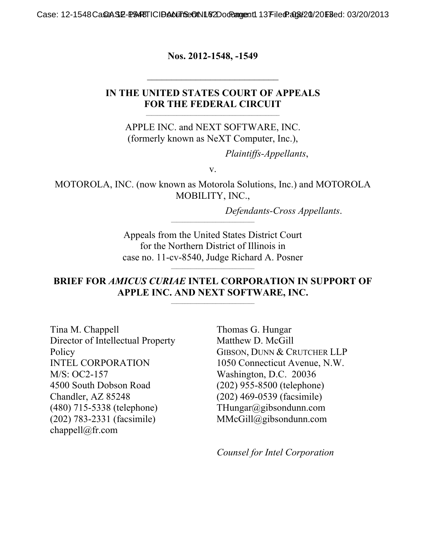Case: 12-1548 CaSeASE-PEARTICIDANTS CONLY 2Do Rangent1 13 Filed Page 20/20 Filed: 03/20/2013

**Nos. 2012-1548, -1549** 

#### **IN THE UNITED STATES COURT OF APPEALS FOR THE FEDERAL CIRCUIT**

APPLE INC. and NEXT SOFTWARE, INC. (formerly known as NeXT Computer, Inc.),

 $\mathcal{L}_\text{max}$  and the contract of the contract of the contract of the contract of the contract of the contract of the contract of the contract of the contract of the contract of the contract of the contract of the contrac

*Plaintiffs-Appellants*,

v.

MOTOROLA, INC. (now known as Motorola Solutions, Inc.) and MOTOROLA MOBILITY, INC.,

Defendants-Cross Appellants.

Appeals from the United States District Court for the Northern District of Illinois in case no. 11-cv-8540, Judge Richard A. Posner

#### **BRIEF FOR** *AMICUS CURIAE* **INTEL CORPORATION IN SUPPORT OF APPLE INC. AND NEXT SOFTWARE, INC.**  $\mathcal{L}_\text{max}$

Tina M. Chappell Director of Intellectual Property **Policy** INTEL CORPORATION M/S: OC2-157 4500 South Dobson Road Chandler, AZ 85248 (480) 715-5338 (telephone) (202) 783-2331 (facsimile) chappell@fr.com

Thomas G. Hungar Matthew D. McGill GIBSON, DUNN & CRUTCHER LLP 1050 Connecticut Avenue, N.W. Washington, D.C. 20036 (202) 955-8500 (telephone) (202) 469-0539 (facsimile) THungar@gibsondunn.com MMcGill@gibsondunn.com

*Counsel for Intel Corporation*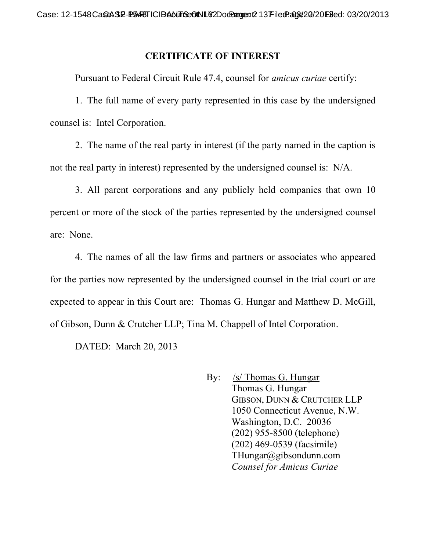### **CERTIFICATE OF INTEREST**

Pursuant to Federal Circuit Rule 47.4, counsel for *amicus curiae* certify:

1. The full name of every party represented in this case by the undersigned counsel is: Intel Corporation.

2. The name of the real party in interest (if the party named in the caption is not the real party in interest) represented by the undersigned counsel is: N/A.

3. All parent corporations and any publicly held companies that own 10 percent or more of the stock of the parties represented by the undersigned counsel are: None.

4. The names of all the law firms and partners or associates who appeared for the parties now represented by the undersigned counsel in the trial court or are expected to appear in this Court are: Thomas G. Hungar and Matthew D. McGill, of Gibson, Dunn & Crutcher LLP; Tina M. Chappell of Intel Corporation.

DATED: March 20, 2013

By: /s/ Thomas G. Hungar Thomas G. Hungar GIBSON, DUNN & CRUTCHER LLP 1050 Connecticut Avenue, N.W. Washington, D.C. 20036 (202) 955-8500 (telephone) (202) 469-0539 (facsimile) THungar@gibsondunn.com *Counsel for Amicus Curiae*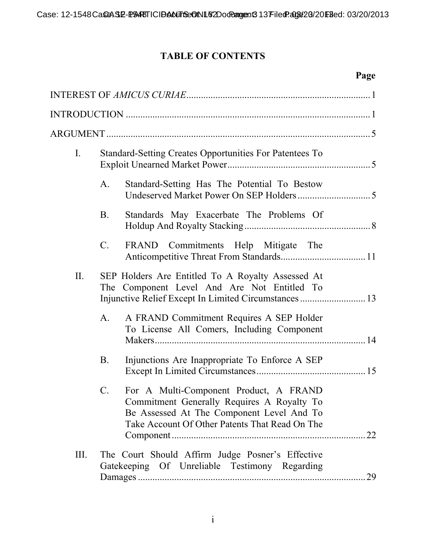# **TABLE OF CONTENTS**

# **Page**

| $I_{\cdot}$ | Standard-Setting Creates Opportunities For Patentees To                                                                                                                                               |    |
|-------------|-------------------------------------------------------------------------------------------------------------------------------------------------------------------------------------------------------|----|
|             | Standard-Setting Has The Potential To Bestow<br>A.                                                                                                                                                    |    |
|             | <b>B.</b><br>Standards May Exacerbate The Problems Of                                                                                                                                                 |    |
|             | $C_{\cdot}$<br>FRAND<br>Commitments Help Mitigate The                                                                                                                                                 |    |
| II.         | SEP Holders Are Entitled To A Royalty Assessed At<br>The Component Level And Are Not Entitled To<br>Injunctive Relief Except In Limited Circumstances  13                                             |    |
|             | A FRAND Commitment Requires A SEP Holder<br>A.<br>To License All Comers, Including Component                                                                                                          |    |
|             | Injunctions Are Inappropriate To Enforce A SEP<br>B.                                                                                                                                                  |    |
|             | For A Multi-Component Product, A FRAND<br>$\mathbf{C}$ .<br>Commitment Generally Requires A Royalty To<br>Be Assessed At The Component Level And To<br>Take Account Of Other Patents That Read On The | 22 |
| III.        | The Court Should Affirm Judge Posner's Effective<br>Gatekeeping Of Unreliable Testimony Regarding                                                                                                     | 29 |
|             |                                                                                                                                                                                                       |    |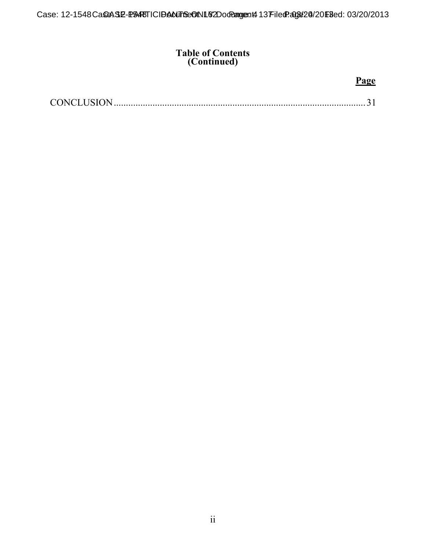#### **Table of Contents (Continued)**

### **Page**

|--|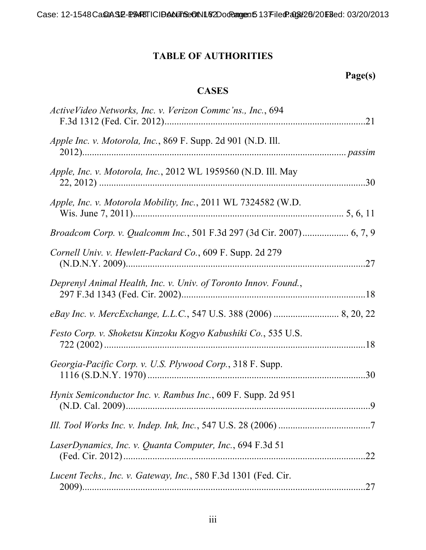# **TABLE OF AUTHORITIES**

# **Page(s)**

## **CASES**

| ActiveVideo Networks, Inc. v. Verizon Commc'ns., Inc., 694           |     |
|----------------------------------------------------------------------|-----|
| Apple Inc. v. Motorola, Inc., 869 F. Supp. 2d 901 (N.D. Ill.         |     |
| Apple, Inc. v. Motorola, Inc., 2012 WL 1959560 (N.D. Ill. May        |     |
| Apple, Inc. v. Motorola Mobility, Inc., 2011 WL 7324582 (W.D.        |     |
| Broadcom Corp. v. Qualcomm Inc., 501 F.3d 297 (3d Cir. 2007) 6, 7, 9 |     |
| Cornell Univ. v. Hewlett-Packard Co., 609 F. Supp. 2d 279            |     |
| Deprenyl Animal Health, Inc. v. Univ. of Toronto Innov. Found.,      |     |
|                                                                      |     |
| Festo Corp. v. Shoketsu Kinzoku Kogyo Kabushiki Co., 535 U.S.        |     |
| Georgia-Pacific Corp. v. U.S. Plywood Corp., 318 F. Supp.            | .30 |
| <i>Hynix Semiconductor Inc. v. Rambus Inc., 609 F. Supp. 2d 951</i>  |     |
|                                                                      |     |
| LaserDynamics, Inc. v. Quanta Computer, Inc., 694 F.3d 51            |     |
| Lucent Techs., Inc. v. Gateway, Inc., 580 F.3d 1301 (Fed. Cir.       |     |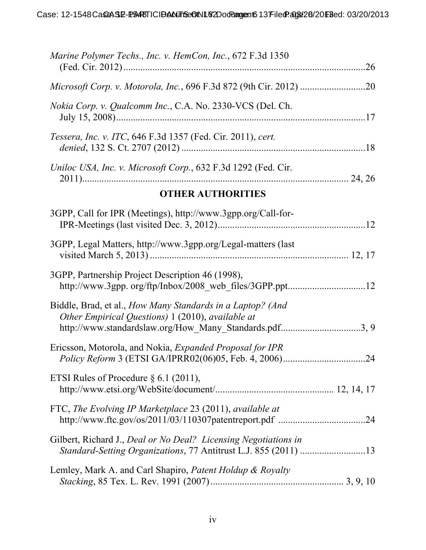| Marine Polymer Techs., Inc. v. HemCon, Inc., 672 F.3d 1350                                                                                                                |  |
|---------------------------------------------------------------------------------------------------------------------------------------------------------------------------|--|
|                                                                                                                                                                           |  |
| <i>Nokia Corp. v. Qualcomm Inc., C.A. No. 2330-VCS (Del. Ch.</i>                                                                                                          |  |
| Tessera, Inc. v. ITC, 646 F.3d 1357 (Fed. Cir. 2011), cert.                                                                                                               |  |
| Uniloc USA, Inc. v. Microsoft Corp., 632 F.3d 1292 (Fed. Cir.                                                                                                             |  |
| <b>OTHER AUTHORITIES</b>                                                                                                                                                  |  |
| 3GPP, Call for IPR (Meetings), http://www.3gpp.org/Call-for-                                                                                                              |  |
| 3GPP, Legal Matters, http://www.3gpp.org/Legal-matters (last                                                                                                              |  |
| 3GPP, Partnership Project Description 46 (1998),                                                                                                                          |  |
| Biddle, Brad, et al., How Many Standards in a Laptop? (And<br>Other Empirical Questions) 1 (2010), available at<br>http://www.standardslaw.org/How_Many_Standards.pdf3, 9 |  |
| Ericsson, Motorola, and Nokia, <i>Expanded Proposal for IPR</i>                                                                                                           |  |
| ETSI Rules of Procedure $\S 6.1$ (2011),                                                                                                                                  |  |
| FTC, The Evolving IP Marketplace 23 (2011), available at                                                                                                                  |  |
| Gilbert, Richard J., Deal or No Deal? Licensing Negotiations in                                                                                                           |  |
| Lemley, Mark A. and Carl Shapiro, Patent Holdup & Royalty                                                                                                                 |  |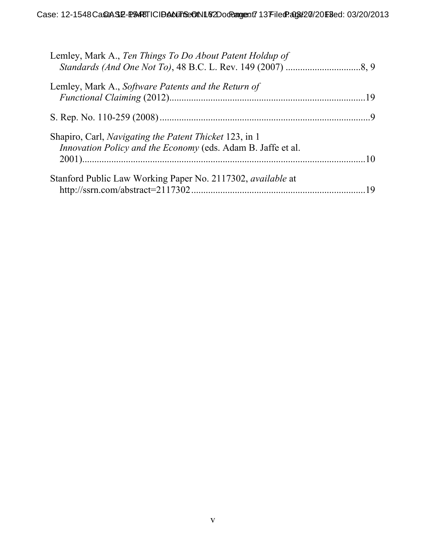| Lemley, Mark A., Ten Things To Do About Patent Holdup of                                                               |    |
|------------------------------------------------------------------------------------------------------------------------|----|
| Lemley, Mark A., Software Patents and the Return of                                                                    |    |
|                                                                                                                        |    |
| Shapiro, Carl, Navigating the Patent Thicket 123, in 1<br>Innovation Policy and the Economy (eds. Adam B. Jaffe et al. |    |
| Stanford Public Law Working Paper No. 2117302, available at                                                            | 19 |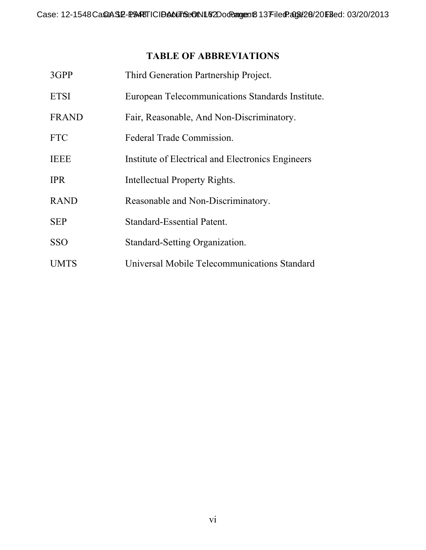## **TABLE OF ABBREVIATIONS**

| 3GPP         | Third Generation Partnership Project.             |
|--------------|---------------------------------------------------|
| <b>ETSI</b>  | European Telecommunications Standards Institute.  |
| <b>FRAND</b> | Fair, Reasonable, And Non-Discriminatory.         |
| <b>FTC</b>   | Federal Trade Commission.                         |
| TEEE         | Institute of Electrical and Electronics Engineers |
| <b>IPR</b>   | Intellectual Property Rights.                     |
| <b>RAND</b>  | Reasonable and Non-Discriminatory.                |
| <b>SEP</b>   | Standard-Essential Patent.                        |
| <b>SSO</b>   | Standard-Setting Organization.                    |
| <b>UMTS</b>  | Universal Mobile Telecommunications Standard      |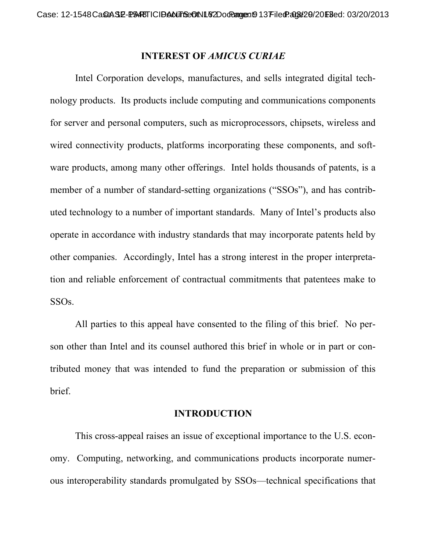#### **INTEREST OF** *AMICUS CURIAE*

Intel Corporation develops, manufactures, and sells integrated digital technology products. Its products include computing and communications components for server and personal computers, such as microprocessors, chipsets, wireless and wired connectivity products, platforms incorporating these components, and software products, among many other offerings. Intel holds thousands of patents, is a member of a number of standard-setting organizations ("SSOs"), and has contributed technology to a number of important standards. Many of Intel's products also operate in accordance with industry standards that may incorporate patents held by other companies. Accordingly, Intel has a strong interest in the proper interpretation and reliable enforcement of contractual commitments that patentees make to SSOs.

All parties to this appeal have consented to the filing of this brief. No person other than Intel and its counsel authored this brief in whole or in part or contributed money that was intended to fund the preparation or submission of this brief.

#### **INTRODUCTION**

This cross-appeal raises an issue of exceptional importance to the U.S. economy. Computing, networking, and communications products incorporate numerous interoperability standards promulgated by SSOs—technical specifications that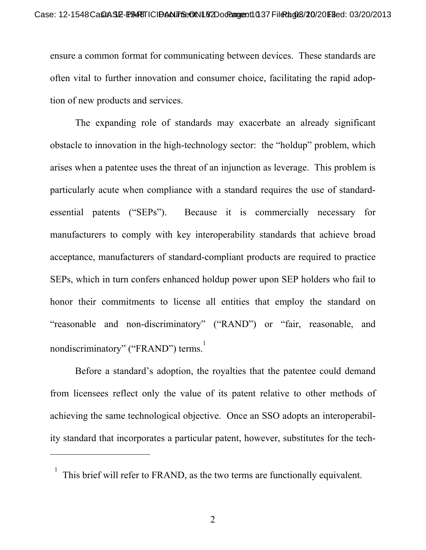ensure a common format for communicating between devices. These standards are often vital to further innovation and consumer choice, facilitating the rapid adoption of new products and services.

The expanding role of standards may exacerbate an already significant obstacle to innovation in the high-technology sector: the "holdup" problem, which arises when a patentee uses the threat of an injunction as leverage. This problem is particularly acute when compliance with a standard requires the use of standardessential patents ("SEPs"). Because it is commercially necessary for manufacturers to comply with key interoperability standards that achieve broad acceptance, manufacturers of standard-compliant products are required to practice SEPs, which in turn confers enhanced holdup power upon SEP holders who fail to honor their commitments to license all entities that employ the standard on "reasonable and non-discriminatory" ("RAND") or "fair, reasonable, and nondiscriminatory" ("FRAND") terms.<sup>1</sup>

Before a standard's adoption, the royalties that the patentee could demand from licensees reflect only the value of its patent relative to other methods of achieving the same technological objective. Once an SSO adopts an interoperability standard that incorporates a particular patent, however, substitutes for the tech-

 $\overline{a}$ 

<sup>1</sup> This brief will refer to FRAND, as the two terms are functionally equivalent.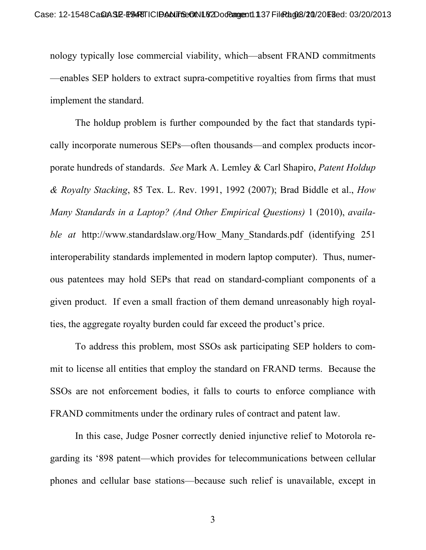nology typically lose commercial viability, which—absent FRAND commitments —enables SEP holders to extract supra-competitive royalties from firms that must implement the standard.

The holdup problem is further compounded by the fact that standards typically incorporate numerous SEPs—often thousands—and complex products incorporate hundreds of standards. *See* Mark A. Lemley & Carl Shapiro, *Patent Holdup & Royalty Stacking*, 85 Tex. L. Rev. 1991, 1992 (2007); Brad Biddle et al., *How Many Standards in a Laptop? (And Other Empirical Questions)* 1 (2010), *available at http://www.standardslaw.org/How Many Standards.pdf (identifying 251)* interoperability standards implemented in modern laptop computer). Thus, numerous patentees may hold SEPs that read on standard-compliant components of a given product. If even a small fraction of them demand unreasonably high royalties, the aggregate royalty burden could far exceed the product's price.

To address this problem, most SSOs ask participating SEP holders to commit to license all entities that employ the standard on FRAND terms. Because the SSOs are not enforcement bodies, it falls to courts to enforce compliance with FRAND commitments under the ordinary rules of contract and patent law.

In this case, Judge Posner correctly denied injunctive relief to Motorola regarding its '898 patent—which provides for telecommunications between cellular phones and cellular base stations—because such relief is unavailable, except in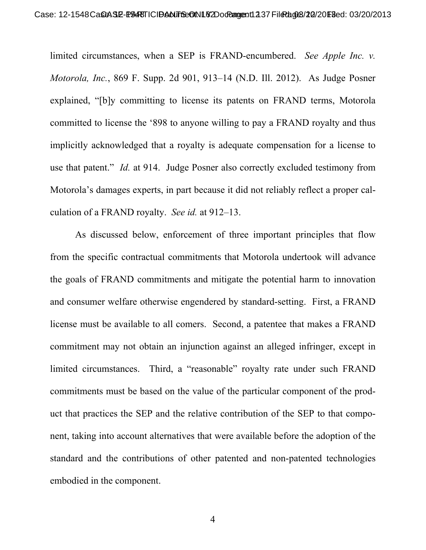limited circumstances, when a SEP is FRAND-encumbered. *See Apple Inc. v. Motorola, Inc.*, 869 F. Supp. 2d 901, 913–14 (N.D. Ill. 2012). As Judge Posner explained, "[b]y committing to license its patents on FRAND terms, Motorola committed to license the '898 to anyone willing to pay a FRAND royalty and thus implicitly acknowledged that a royalty is adequate compensation for a license to use that patent." *Id.* at 914. Judge Posner also correctly excluded testimony from Motorola's damages experts, in part because it did not reliably reflect a proper calculation of a FRAND royalty. *See id.* at 912–13.

As discussed below, enforcement of three important principles that flow from the specific contractual commitments that Motorola undertook will advance the goals of FRAND commitments and mitigate the potential harm to innovation and consumer welfare otherwise engendered by standard-setting. First, a FRAND license must be available to all comers. Second, a patentee that makes a FRAND commitment may not obtain an injunction against an alleged infringer, except in limited circumstances. Third, a "reasonable" royalty rate under such FRAND commitments must be based on the value of the particular component of the product that practices the SEP and the relative contribution of the SEP to that component, taking into account alternatives that were available before the adoption of the standard and the contributions of other patented and non-patented technologies embodied in the component.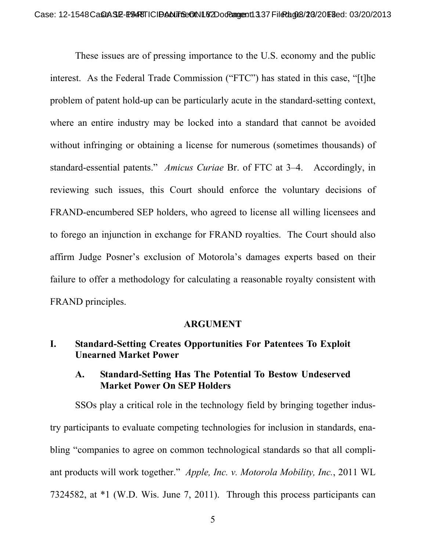These issues are of pressing importance to the U.S. economy and the public interest. As the Federal Trade Commission ("FTC") has stated in this case, "[t]he problem of patent hold-up can be particularly acute in the standard-setting context, where an entire industry may be locked into a standard that cannot be avoided without infringing or obtaining a license for numerous (sometimes thousands) of standard-essential patents." *Amicus Curiae* Br. of FTC at 3–4. Accordingly, in reviewing such issues, this Court should enforce the voluntary decisions of FRAND-encumbered SEP holders, who agreed to license all willing licensees and to forego an injunction in exchange for FRAND royalties. The Court should also affirm Judge Posner's exclusion of Motorola's damages experts based on their failure to offer a methodology for calculating a reasonable royalty consistent with FRAND principles.

#### **ARGUMENT**

### **I. Standard-Setting Creates Opportunities For Patentees To Exploit Unearned Market Power**

#### **A. Standard-Setting Has The Potential To Bestow Undeserved Market Power On SEP Holders**

SSOs play a critical role in the technology field by bringing together industry participants to evaluate competing technologies for inclusion in standards, enabling "companies to agree on common technological standards so that all compliant products will work together." *Apple, Inc. v. Motorola Mobility, Inc.*, 2011 WL 7324582, at \*1 (W.D. Wis. June 7, 2011). Through this process participants can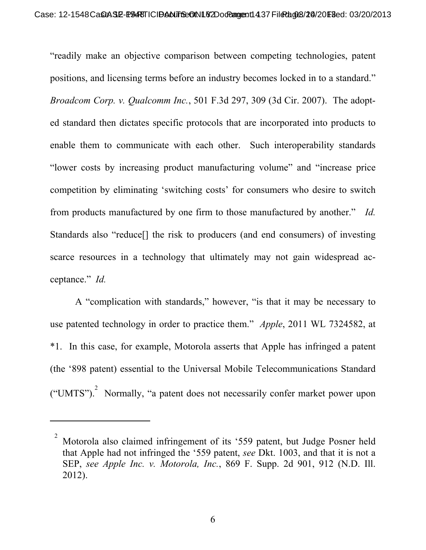"readily make an objective comparison between competing technologies, patent positions, and licensing terms before an industry becomes locked in to a standard." *Broadcom Corp. v. Qualcomm Inc.*, 501 F.3d 297, 309 (3d Cir. 2007). The adopted standard then dictates specific protocols that are incorporated into products to enable them to communicate with each other. Such interoperability standards "lower costs by increasing product manufacturing volume" and "increase price competition by eliminating 'switching costs' for consumers who desire to switch from products manufactured by one firm to those manufactured by another." *Id.* Standards also "reduce[] the risk to producers (and end consumers) of investing scarce resources in a technology that ultimately may not gain widespread acceptance." *Id.*

A "complication with standards," however, "is that it may be necessary to use patented technology in order to practice them." *Apple*, 2011 WL 7324582, at \*1. In this case, for example, Motorola asserts that Apple has infringed a patent (the '898 patent) essential to the Universal Mobile Telecommunications Standard ("UMTS").<sup>2</sup> Normally, "a patent does not necessarily confer market power upon

 $\overline{a}$ 

<sup>2</sup> Motorola also claimed infringement of its '559 patent, but Judge Posner held that Apple had not infringed the '559 patent, *see* Dkt. 1003, and that it is not a SEP, *see Apple Inc. v. Motorola, Inc.*, 869 F. Supp. 2d 901, 912 (N.D. Ill. 2012).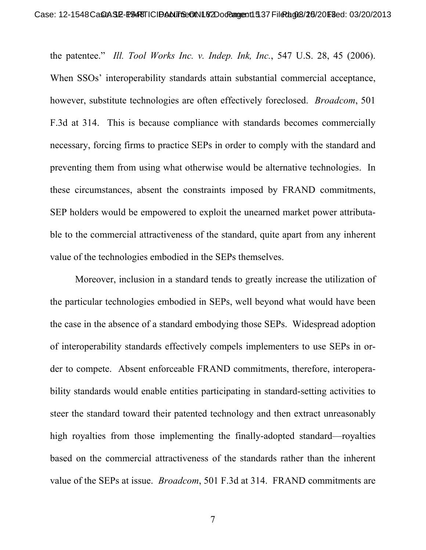the patentee." *Ill. Tool Works Inc. v. Indep. Ink, Inc.*, 547 U.S. 28, 45 (2006). When SSOs' interoperability standards attain substantial commercial acceptance, however, substitute technologies are often effectively foreclosed. *Broadcom*, 501 F.3d at 314. This is because compliance with standards becomes commercially necessary, forcing firms to practice SEPs in order to comply with the standard and preventing them from using what otherwise would be alternative technologies. In these circumstances, absent the constraints imposed by FRAND commitments, SEP holders would be empowered to exploit the unearned market power attributable to the commercial attractiveness of the standard, quite apart from any inherent value of the technologies embodied in the SEPs themselves.

Moreover, inclusion in a standard tends to greatly increase the utilization of the particular technologies embodied in SEPs, well beyond what would have been the case in the absence of a standard embodying those SEPs. Widespread adoption of interoperability standards effectively compels implementers to use SEPs in order to compete. Absent enforceable FRAND commitments, therefore, interoperability standards would enable entities participating in standard-setting activities to steer the standard toward their patented technology and then extract unreasonably high royalties from those implementing the finally-adopted standard—royalties based on the commercial attractiveness of the standards rather than the inherent value of the SEPs at issue. *Broadcom*, 501 F.3d at 314. FRAND commitments are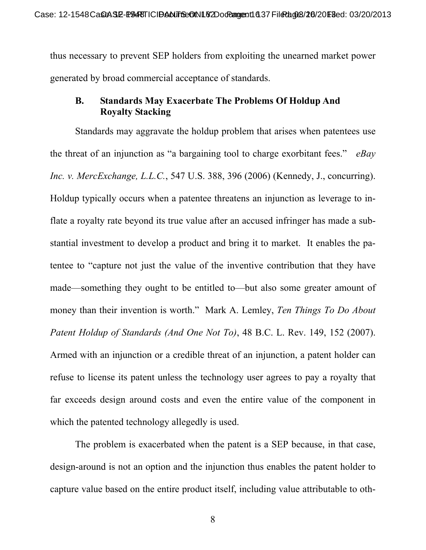thus necessary to prevent SEP holders from exploiting the unearned market power generated by broad commercial acceptance of standards.

### **B. Standards May Exacerbate The Problems Of Holdup And Royalty Stacking**

Standards may aggravate the holdup problem that arises when patentees use the threat of an injunction as "a bargaining tool to charge exorbitant fees." *eBay Inc. v. MercExchange, L.L.C.*, 547 U.S. 388, 396 (2006) (Kennedy, J., concurring). Holdup typically occurs when a patentee threatens an injunction as leverage to inflate a royalty rate beyond its true value after an accused infringer has made a substantial investment to develop a product and bring it to market. It enables the patentee to "capture not just the value of the inventive contribution that they have made—something they ought to be entitled to—but also some greater amount of money than their invention is worth." Mark A. Lemley, *Ten Things To Do About Patent Holdup of Standards (And One Not To)*, 48 B.C. L. Rev. 149, 152 (2007). Armed with an injunction or a credible threat of an injunction, a patent holder can refuse to license its patent unless the technology user agrees to pay a royalty that far exceeds design around costs and even the entire value of the component in which the patented technology allegedly is used.

The problem is exacerbated when the patent is a SEP because, in that case, design-around is not an option and the injunction thus enables the patent holder to capture value based on the entire product itself, including value attributable to oth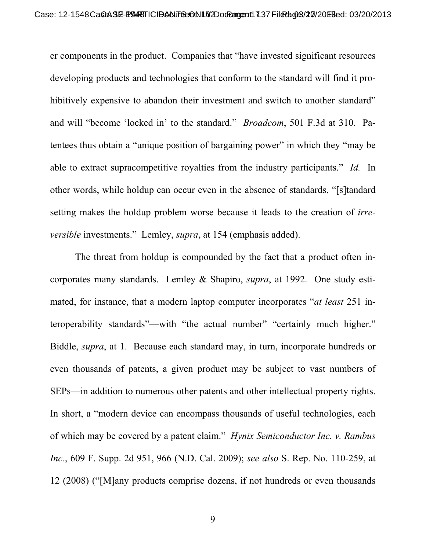er components in the product. Companies that "have invested significant resources developing products and technologies that conform to the standard will find it prohibitively expensive to abandon their investment and switch to another standard" and will "become 'locked in' to the standard." *Broadcom*, 501 F.3d at 310. Patentees thus obtain a "unique position of bargaining power" in which they "may be able to extract supracompetitive royalties from the industry participants." *Id.* In other words, while holdup can occur even in the absence of standards, "[s]tandard setting makes the holdup problem worse because it leads to the creation of *irreversible* investments." Lemley, *supra*, at 154 (emphasis added).

The threat from holdup is compounded by the fact that a product often incorporates many standards. Lemley & Shapiro, *supra*, at 1992. One study estimated, for instance, that a modern laptop computer incorporates "*at least* 251 interoperability standards"—with "the actual number" "certainly much higher." Biddle, *supra*, at 1. Because each standard may, in turn, incorporate hundreds or even thousands of patents, a given product may be subject to vast numbers of SEPs—in addition to numerous other patents and other intellectual property rights. In short, a "modern device can encompass thousands of useful technologies, each of which may be covered by a patent claim." *Hynix Semiconductor Inc. v. Rambus Inc.*, 609 F. Supp. 2d 951, 966 (N.D. Cal. 2009); *see also* S. Rep. No. 110-259, at 12 (2008) ("[M]any products comprise dozens, if not hundreds or even thousands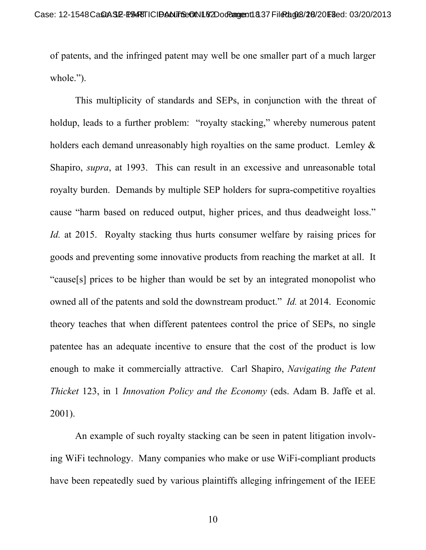of patents, and the infringed patent may well be one smaller part of a much larger whole.").

This multiplicity of standards and SEPs, in conjunction with the threat of holdup, leads to a further problem: "royalty stacking," whereby numerous patent holders each demand unreasonably high royalties on the same product. Lemley  $\&$ Shapiro, *supra*, at 1993. This can result in an excessive and unreasonable total royalty burden. Demands by multiple SEP holders for supra-competitive royalties cause "harm based on reduced output, higher prices, and thus deadweight loss." *Id.* at 2015. Royalty stacking thus hurts consumer welfare by raising prices for goods and preventing some innovative products from reaching the market at all. It "cause[s] prices to be higher than would be set by an integrated monopolist who owned all of the patents and sold the downstream product." *Id.* at 2014. Economic theory teaches that when different patentees control the price of SEPs, no single patentee has an adequate incentive to ensure that the cost of the product is low enough to make it commercially attractive. Carl Shapiro, *Navigating the Patent Thicket* 123, in 1 *Innovation Policy and the Economy* (eds. Adam B. Jaffe et al. 2001).

An example of such royalty stacking can be seen in patent litigation involving WiFi technology. Many companies who make or use WiFi-compliant products have been repeatedly sued by various plaintiffs alleging infringement of the IEEE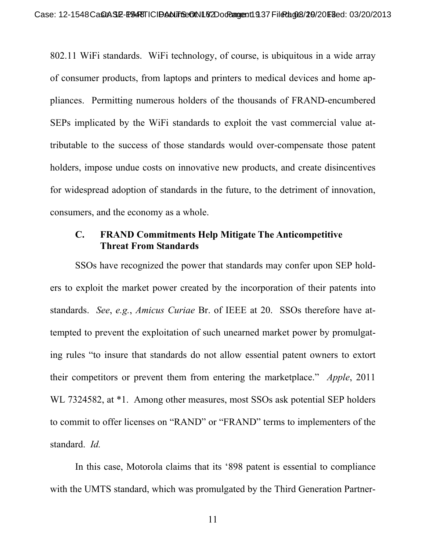802.11 WiFi standards. WiFi technology, of course, is ubiquitous in a wide array of consumer products, from laptops and printers to medical devices and home appliances. Permitting numerous holders of the thousands of FRAND-encumbered SEPs implicated by the WiFi standards to exploit the vast commercial value attributable to the success of those standards would over-compensate those patent holders, impose undue costs on innovative new products, and create disincentives for widespread adoption of standards in the future, to the detriment of innovation, consumers, and the economy as a whole.

#### **C. FRAND Commitments Help Mitigate The Anticompetitive Threat From Standards**

SSOs have recognized the power that standards may confer upon SEP holders to exploit the market power created by the incorporation of their patents into standards. *See*, *e.g.*, *Amicus Curiae* Br. of IEEE at 20. SSOs therefore have attempted to prevent the exploitation of such unearned market power by promulgating rules "to insure that standards do not allow essential patent owners to extort their competitors or prevent them from entering the marketplace." *Apple*, 2011 WL 7324582, at  $*1$ . Among other measures, most SSOs ask potential SEP holders to commit to offer licenses on "RAND" or "FRAND" terms to implementers of the standard. *Id.*

In this case, Motorola claims that its '898 patent is essential to compliance with the UMTS standard, which was promulgated by the Third Generation Partner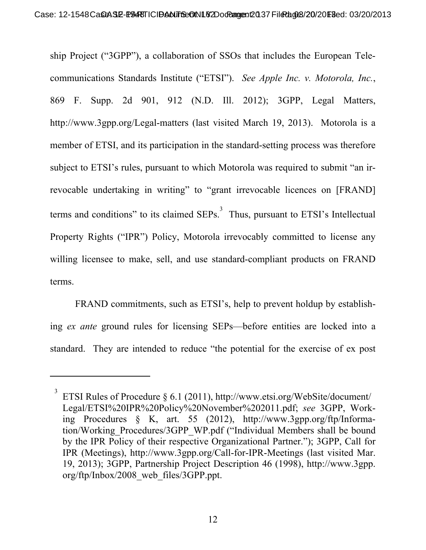ship Project ("3GPP"), a collaboration of SSOs that includes the European Telecommunications Standards Institute ("ETSI"). *See Apple Inc. v. Motorola, Inc.*, 869 F. Supp. 2d 901, 912 (N.D. Ill. 2012); 3GPP, Legal Matters, http://www.3gpp.org/Legal-matters (last visited March 19, 2013). Motorola is a member of ETSI, and its participation in the standard-setting process was therefore subject to ETSI's rules, pursuant to which Motorola was required to submit "an irrevocable undertaking in writing" to "grant irrevocable licences on [FRAND] terms and conditions" to its claimed  $SEPs$ <sup>3</sup>. Thus, pursuant to  $ETSI$ 's Intellectual Property Rights ("IPR") Policy, Motorola irrevocably committed to license any willing licensee to make, sell, and use standard-compliant products on FRAND terms.

FRAND commitments, such as ETSI's, help to prevent holdup by establishing *ex ante* ground rules for licensing SEPs—before entities are locked into a standard. They are intended to reduce "the potential for the exercise of ex post

 $\overline{a}$ 

<sup>3</sup> ETSI Rules of Procedure § 6.1 (2011), http://www.etsi.org/WebSite/document/ Legal/ETSI%20IPR%20Policy%20November%202011.pdf; *see* 3GPP, Working Procedures § K, art. 55 (2012), http://www.3gpp.org/ftp/Information/Working\_Procedures/3GPP\_WP.pdf ("Individual Members shall be bound by the IPR Policy of their respective Organizational Partner."); 3GPP, Call for IPR (Meetings), http://www.3gpp.org/Call-for-IPR-Meetings (last visited Mar. 19, 2013); 3GPP, Partnership Project Description 46 (1998), http://www.3gpp. org/ftp/Inbox/2008\_web\_files/3GPP.ppt.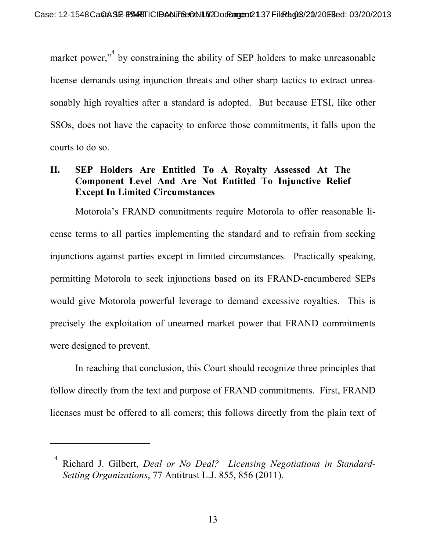market power,"<sup>4</sup> by constraining the ability of SEP holders to make unreasonable license demands using injunction threats and other sharp tactics to extract unreasonably high royalties after a standard is adopted. But because ETSI, like other SSOs, does not have the capacity to enforce those commitments, it falls upon the courts to do so.

## **II. SEP Holders Are Entitled To A Royalty Assessed At The Component Level And Are Not Entitled To Injunctive Relief Except In Limited Circumstances**

Motorola's FRAND commitments require Motorola to offer reasonable license terms to all parties implementing the standard and to refrain from seeking injunctions against parties except in limited circumstances. Practically speaking, permitting Motorola to seek injunctions based on its FRAND-encumbered SEPs would give Motorola powerful leverage to demand excessive royalties. This is precisely the exploitation of unearned market power that FRAND commitments were designed to prevent.

In reaching that conclusion, this Court should recognize three principles that follow directly from the text and purpose of FRAND commitments. First, FRAND licenses must be offered to all comers; this follows directly from the plain text of

-

<sup>4</sup> Richard J. Gilbert, *Deal or No Deal? Licensing Negotiations in Standard-Setting Organizations*, 77 Antitrust L.J. 855, 856 (2011).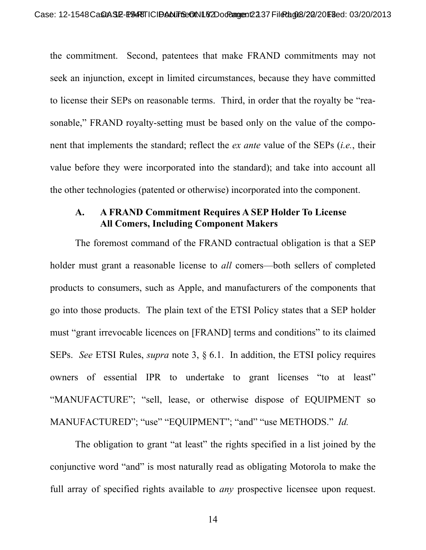the commitment. Second, patentees that make FRAND commitments may not seek an injunction, except in limited circumstances, because they have committed to license their SEPs on reasonable terms. Third, in order that the royalty be "reasonable," FRAND royalty-setting must be based only on the value of the component that implements the standard; reflect the *ex ante* value of the SEPs (*i.e.*, their value before they were incorporated into the standard); and take into account all the other technologies (patented or otherwise) incorporated into the component.

#### **A. A FRAND Commitment Requires A SEP Holder To License All Comers, Including Component Makers**

The foremost command of the FRAND contractual obligation is that a SEP holder must grant a reasonable license to *all* comers—both sellers of completed products to consumers, such as Apple, and manufacturers of the components that go into those products. The plain text of the ETSI Policy states that a SEP holder must "grant irrevocable licences on [FRAND] terms and conditions" to its claimed SEPs. *See* ETSI Rules, *supra* note 3, § 6.1. In addition, the ETSI policy requires owners of essential IPR to undertake to grant licenses "to at least" "MANUFACTURE"; "sell, lease, or otherwise dispose of EQUIPMENT so MANUFACTURED"; "use" "EQUIPMENT"; "and" "use METHODS." *Id.*

The obligation to grant "at least" the rights specified in a list joined by the conjunctive word "and" is most naturally read as obligating Motorola to make the full array of specified rights available to *any* prospective licensee upon request.

14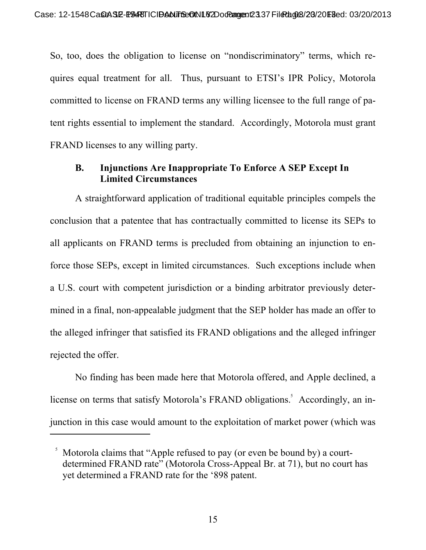So, too, does the obligation to license on "nondiscriminatory" terms, which requires equal treatment for all. Thus, pursuant to ETSI's IPR Policy, Motorola committed to license on FRAND terms any willing licensee to the full range of patent rights essential to implement the standard. Accordingly, Motorola must grant FRAND licenses to any willing party.

## **B. Injunctions Are Inappropriate To Enforce A SEP Except In Limited Circumstances**

A straightforward application of traditional equitable principles compels the conclusion that a patentee that has contractually committed to license its SEPs to all applicants on FRAND terms is precluded from obtaining an injunction to enforce those SEPs, except in limited circumstances. Such exceptions include when a U.S. court with competent jurisdiction or a binding arbitrator previously determined in a final, non-appealable judgment that the SEP holder has made an offer to the alleged infringer that satisfied its FRAND obligations and the alleged infringer rejected the offer.

No finding has been made here that Motorola offered, and Apple declined, a license on terms that satisfy Motorola's FRAND obligations.<sup>5</sup> Accordingly, an injunction in this case would amount to the exploitation of market power (which was

-

<sup>5</sup> Motorola claims that "Apple refused to pay (or even be bound by) a courtdetermined FRAND rate" (Motorola Cross-Appeal Br. at 71), but no court has yet determined a FRAND rate for the '898 patent.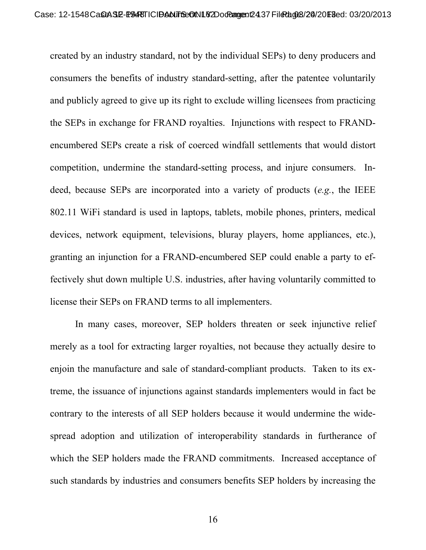created by an industry standard, not by the individual SEPs) to deny producers and consumers the benefits of industry standard-setting, after the patentee voluntarily and publicly agreed to give up its right to exclude willing licensees from practicing the SEPs in exchange for FRAND royalties. Injunctions with respect to FRANDencumbered SEPs create a risk of coerced windfall settlements that would distort competition, undermine the standard-setting process, and injure consumers. Indeed, because SEPs are incorporated into a variety of products (*e.g.*, the IEEE 802.11 WiFi standard is used in laptops, tablets, mobile phones, printers, medical devices, network equipment, televisions, bluray players, home appliances, etc.), granting an injunction for a FRAND-encumbered SEP could enable a party to effectively shut down multiple U.S. industries, after having voluntarily committed to license their SEPs on FRAND terms to all implementers.

In many cases, moreover, SEP holders threaten or seek injunctive relief merely as a tool for extracting larger royalties, not because they actually desire to enjoin the manufacture and sale of standard-compliant products. Taken to its extreme, the issuance of injunctions against standards implementers would in fact be contrary to the interests of all SEP holders because it would undermine the widespread adoption and utilization of interoperability standards in furtherance of which the SEP holders made the FRAND commitments. Increased acceptance of such standards by industries and consumers benefits SEP holders by increasing the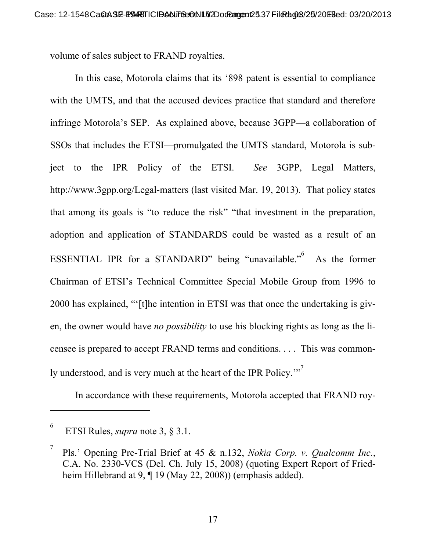volume of sales subject to FRAND royalties.

In this case, Motorola claims that its '898 patent is essential to compliance with the UMTS, and that the accused devices practice that standard and therefore infringe Motorola's SEP. As explained above, because 3GPP—a collaboration of SSOs that includes the ETSI—promulgated the UMTS standard, Motorola is subject to the IPR Policy of the ETSI. *See* 3GPP, Legal Matters, http://www.3gpp.org/Legal-matters (last visited Mar. 19, 2013). That policy states that among its goals is "to reduce the risk" "that investment in the preparation, adoption and application of STANDARDS could be wasted as a result of an ESSENTIAL IPR for a STANDARD" being "unavailable." As the former Chairman of ETSI's Technical Committee Special Mobile Group from 1996 to 2000 has explained, "'[t]he intention in ETSI was that once the undertaking is given, the owner would have *no possibility* to use his blocking rights as long as the licensee is prepared to accept FRAND terms and conditions. . . . This was commonly understood, and is very much at the heart of the IPR Policy."<sup>7</sup>

In accordance with these requirements, Motorola accepted that FRAND roy-

 $\overline{a}$ 

<sup>6</sup> ETSI Rules, *supra* note 3, § 3.1.

<sup>7</sup> Pls.' Opening Pre-Trial Brief at 45 & n.132, *Nokia Corp. v. Qualcomm Inc.*, C.A. No. 2330-VCS (Del. Ch. July 15, 2008) (quoting Expert Report of Friedheim Hillebrand at 9, ¶ 19 (May 22, 2008)) (emphasis added).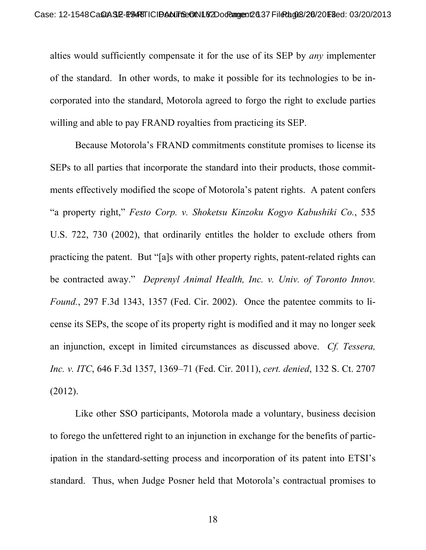alties would sufficiently compensate it for the use of its SEP by *any* implementer of the standard. In other words, to make it possible for its technologies to be incorporated into the standard, Motorola agreed to forgo the right to exclude parties willing and able to pay FRAND royalties from practicing its SEP.

Because Motorola's FRAND commitments constitute promises to license its SEPs to all parties that incorporate the standard into their products, those commitments effectively modified the scope of Motorola's patent rights. A patent confers "a property right," *Festo Corp. v. Shoketsu Kinzoku Kogyo Kabushiki Co.*, 535 U.S. 722, 730 (2002), that ordinarily entitles the holder to exclude others from practicing the patent. But "[a]s with other property rights, patent-related rights can be contracted away." *Deprenyl Animal Health, Inc. v. Univ. of Toronto Innov. Found.*, 297 F.3d 1343, 1357 (Fed. Cir. 2002). Once the patentee commits to license its SEPs, the scope of its property right is modified and it may no longer seek an injunction, except in limited circumstances as discussed above. *Cf. Tessera, Inc. v. ITC*, 646 F.3d 1357, 1369–71 (Fed. Cir. 2011), *cert. denied*, 132 S. Ct. 2707 (2012).

Like other SSO participants, Motorola made a voluntary, business decision to forego the unfettered right to an injunction in exchange for the benefits of participation in the standard-setting process and incorporation of its patent into ETSI's standard. Thus, when Judge Posner held that Motorola's contractual promises to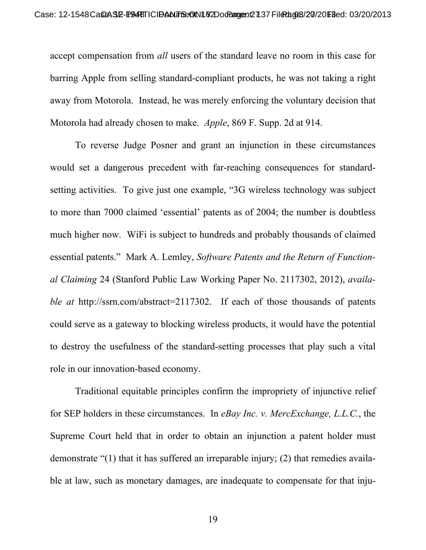accept compensation from *all* users of the standard leave no room in this case for barring Apple from selling standard-compliant products, he was not taking a right away from Motorola. Instead, he was merely enforcing the voluntary decision that Motorola had already chosen to make. *Apple*, 869 F. Supp. 2d at 914.

To reverse Judge Posner and grant an injunction in these circumstances would set a dangerous precedent with far-reaching consequences for standardsetting activities. To give just one example, "3G wireless technology was subject to more than 7000 claimed 'essential' patents as of 2004; the number is doubtless much higher now. WiFi is subject to hundreds and probably thousands of claimed essential patents." Mark A. Lemley, *Software Patents and the Return of Functional Claiming* 24 (Stanford Public Law Working Paper No. 2117302, 2012), *available at* http://ssrn.com/abstract=2117302. If each of those thousands of patents could serve as a gateway to blocking wireless products, it would have the potential to destroy the usefulness of the standard-setting processes that play such a vital role in our innovation-based economy.

Traditional equitable principles confirm the impropriety of injunctive relief for SEP holders in these circumstances. In *eBay Inc. v. MercExchange, L.L.C.*, the Supreme Court held that in order to obtain an injunction a patent holder must demonstrate "(1) that it has suffered an irreparable injury; (2) that remedies available at law, such as monetary damages, are inadequate to compensate for that inju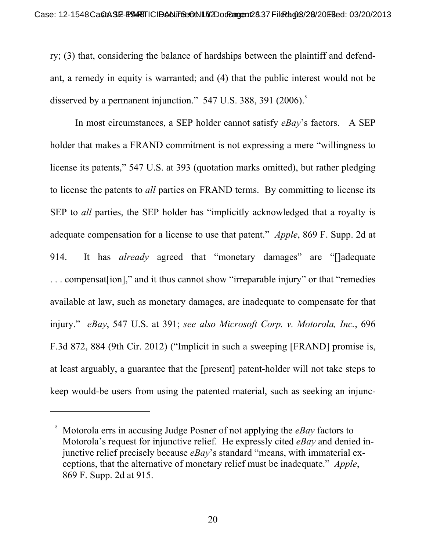ry; (3) that, considering the balance of hardships between the plaintiff and defendant, a remedy in equity is warranted; and (4) that the public interest would not be disserved by a permanent injunction."  $547$  U.S. 388, 391 (2006).

In most circumstances, a SEP holder cannot satisfy *eBay*'s factors. A SEP holder that makes a FRAND commitment is not expressing a mere "willingness to license its patents," 547 U.S. at 393 (quotation marks omitted), but rather pledging to license the patents to *all* parties on FRAND terms. By committing to license its SEP to *all* parties, the SEP holder has "implicitly acknowledged that a royalty is adequate compensation for a license to use that patent." *Apple*, 869 F. Supp. 2d at 914. It has *already* agreed that "monetary damages" are "[]adequate . . . compensat[ion]," and it thus cannot show "irreparable injury" or that "remedies available at law, such as monetary damages, are inadequate to compensate for that injury." *eBay*, 547 U.S. at 391; *see also Microsoft Corp. v. Motorola, Inc.*, 696 F.3d 872, 884 (9th Cir. 2012) ("Implicit in such a sweeping [FRAND] promise is, at least arguably, a guarantee that the [present] patent-holder will not take steps to keep would-be users from using the patented material, such as seeking an injunc-

l

<sup>8</sup> Motorola errs in accusing Judge Posner of not applying the *eBay* factors to Motorola's request for injunctive relief. He expressly cited *eBay* and denied injunctive relief precisely because *eBay*'s standard "means, with immaterial exceptions, that the alternative of monetary relief must be inadequate." *Apple*, 869 F. Supp. 2d at 915.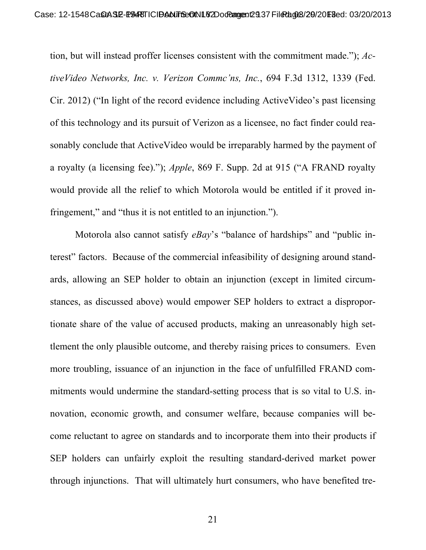tion, but will instead proffer licenses consistent with the commitment made."); *ActiveVideo Networks, Inc. v. Verizon Commc'ns, Inc.*, 694 F.3d 1312, 1339 (Fed. Cir. 2012) ("In light of the record evidence including ActiveVideo's past licensing of this technology and its pursuit of Verizon as a licensee, no fact finder could reasonably conclude that ActiveVideo would be irreparably harmed by the payment of a royalty (a licensing fee)."); *Apple*, 869 F. Supp. 2d at 915 ("A FRAND royalty would provide all the relief to which Motorola would be entitled if it proved infringement," and "thus it is not entitled to an injunction.").

Motorola also cannot satisfy *eBay*'s "balance of hardships" and "public interest" factors. Because of the commercial infeasibility of designing around standards, allowing an SEP holder to obtain an injunction (except in limited circumstances, as discussed above) would empower SEP holders to extract a disproportionate share of the value of accused products, making an unreasonably high settlement the only plausible outcome, and thereby raising prices to consumers. Even more troubling, issuance of an injunction in the face of unfulfilled FRAND commitments would undermine the standard-setting process that is so vital to U.S. innovation, economic growth, and consumer welfare, because companies will become reluctant to agree on standards and to incorporate them into their products if SEP holders can unfairly exploit the resulting standard-derived market power through injunctions. That will ultimately hurt consumers, who have benefited tre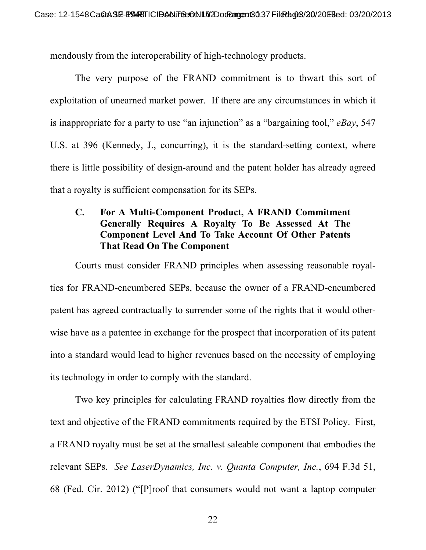mendously from the interoperability of high-technology products.

The very purpose of the FRAND commitment is to thwart this sort of exploitation of unearned market power. If there are any circumstances in which it is inappropriate for a party to use "an injunction" as a "bargaining tool," *eBay*, 547 U.S. at 396 (Kennedy, J., concurring), it is the standard-setting context, where there is little possibility of design-around and the patent holder has already agreed that a royalty is sufficient compensation for its SEPs.

## **C. For A Multi-Component Product, A FRAND Commitment Generally Requires A Royalty To Be Assessed At The Component Level And To Take Account Of Other Patents That Read On The Component**

Courts must consider FRAND principles when assessing reasonable royalties for FRAND-encumbered SEPs, because the owner of a FRAND-encumbered patent has agreed contractually to surrender some of the rights that it would otherwise have as a patentee in exchange for the prospect that incorporation of its patent into a standard would lead to higher revenues based on the necessity of employing its technology in order to comply with the standard.

Two key principles for calculating FRAND royalties flow directly from the text and objective of the FRAND commitments required by the ETSI Policy. First, a FRAND royalty must be set at the smallest saleable component that embodies the relevant SEPs. *See LaserDynamics, Inc. v. Quanta Computer, Inc.*, 694 F.3d 51, 68 (Fed. Cir. 2012) ("[P]roof that consumers would not want a laptop computer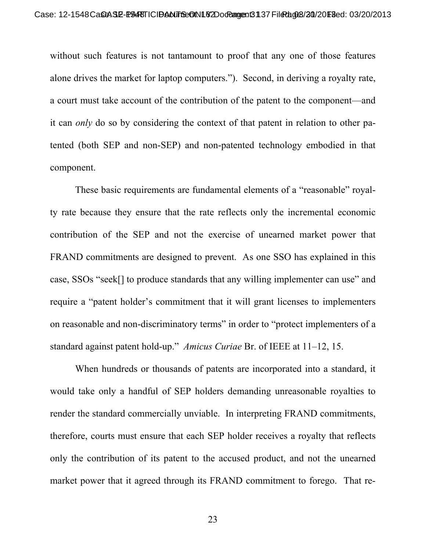without such features is not tantamount to proof that any one of those features alone drives the market for laptop computers."). Second, in deriving a royalty rate, a court must take account of the contribution of the patent to the component—and it can *only* do so by considering the context of that patent in relation to other patented (both SEP and non-SEP) and non-patented technology embodied in that component.

These basic requirements are fundamental elements of a "reasonable" royalty rate because they ensure that the rate reflects only the incremental economic contribution of the SEP and not the exercise of unearned market power that FRAND commitments are designed to prevent. As one SSO has explained in this case, SSOs "seek[] to produce standards that any willing implementer can use" and require a "patent holder's commitment that it will grant licenses to implementers on reasonable and non-discriminatory terms" in order to "protect implementers of a standard against patent hold-up." *Amicus Curiae* Br. of IEEE at 11–12, 15.

When hundreds or thousands of patents are incorporated into a standard, it would take only a handful of SEP holders demanding unreasonable royalties to render the standard commercially unviable. In interpreting FRAND commitments, therefore, courts must ensure that each SEP holder receives a royalty that reflects only the contribution of its patent to the accused product, and not the unearned market power that it agreed through its FRAND commitment to forego. That re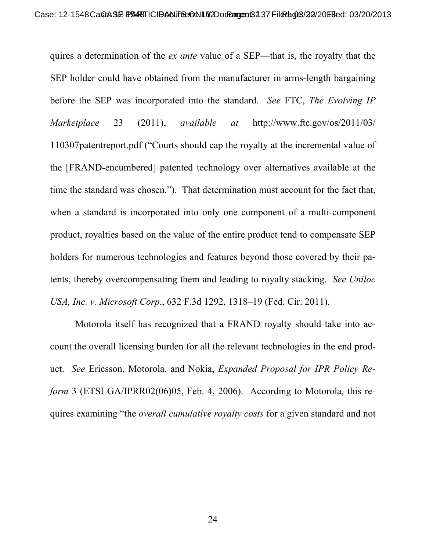quires a determination of the *ex ante* value of a SEP—that is, the royalty that the SEP holder could have obtained from the manufacturer in arms-length bargaining before the SEP was incorporated into the standard. *See* FTC, *The Evolving IP Marketplace* 23 (2011), *available at* http://www.ftc.gov/os/2011/03/ 110307patentreport.pdf ("Courts should cap the royalty at the incremental value of the [FRAND-encumbered] patented technology over alternatives available at the time the standard was chosen."). That determination must account for the fact that, when a standard is incorporated into only one component of a multi-component product, royalties based on the value of the entire product tend to compensate SEP holders for numerous technologies and features beyond those covered by their patents, thereby overcompensating them and leading to royalty stacking. *See Uniloc USA, Inc. v. Microsoft Corp.*, 632 F.3d 1292, 1318–19 (Fed. Cir. 2011).

Motorola itself has recognized that a FRAND royalty should take into account the overall licensing burden for all the relevant technologies in the end product. *See* Ericsson, Motorola, and Nokia, *Expanded Proposal for IPR Policy Reform* 3 (ETSI GA/IPRR02(06)05, Feb. 4, 2006). According to Motorola, this requires examining "the *overall cumulative royalty costs* for a given standard and not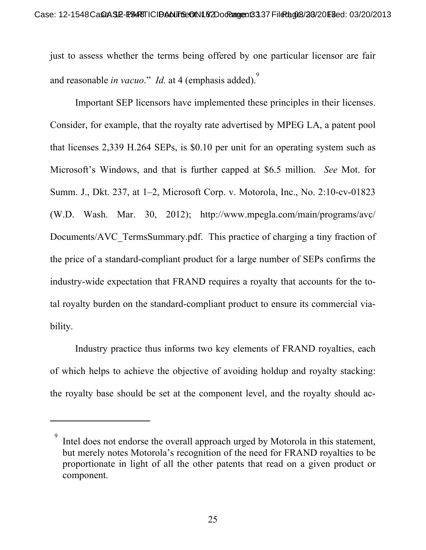just to assess whether the terms being offered by one particular licensor are fair and reasonable *in vacuo*." *Id.* at 4 (emphasis added).<sup>9</sup>

Important SEP licensors have implemented these principles in their licenses. Consider, for example, that the royalty rate advertised by MPEG LA, a patent pool that licenses 2,339 H.264 SEPs, is \$0.10 per unit for an operating system such as Microsoft's Windows, and that is further capped at \$6.5 million. *See* Mot. for Summ. J., Dkt. 237, at 1–2, Microsoft Corp. v. Motorola, Inc., No. 2:10-cv-01823 (W.D. Wash. Mar. 30, 2012); http://www.mpegla.com/main/programs/avc/ Documents/AVC TermsSummary.pdf. This practice of charging a tiny fraction of the price of a standard-compliant product for a large number of SEPs confirms the industry-wide expectation that FRAND requires a royalty that accounts for the total royalty burden on the standard-compliant product to ensure its commercial viability.

Industry practice thus informs two key elements of FRAND royalties, each of which helps to achieve the objective of avoiding holdup and royalty stacking: the royalty base should be set at the component level, and the royalty should ac-

l

<sup>9</sup> Intel does not endorse the overall approach urged by Motorola in this statement, but merely notes Motorola's recognition of the need for FRAND royalties to be proportionate in light of all the other patents that read on a given product or component.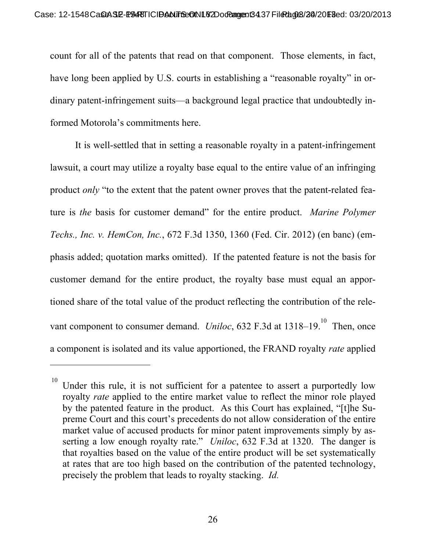count for all of the patents that read on that component. Those elements, in fact, have long been applied by U.S. courts in establishing a "reasonable royalty" in ordinary patent-infringement suits—a background legal practice that undoubtedly informed Motorola's commitments here.

It is well-settled that in setting a reasonable royalty in a patent-infringement lawsuit, a court may utilize a royalty base equal to the entire value of an infringing product *only* "to the extent that the patent owner proves that the patent-related feature is *the* basis for customer demand" for the entire product. *Marine Polymer Techs., Inc. v. HemCon, Inc.*, 672 F.3d 1350, 1360 (Fed. Cir. 2012) (en banc) (emphasis added; quotation marks omitted). If the patented feature is not the basis for customer demand for the entire product, the royalty base must equal an apportioned share of the total value of the product reflecting the contribution of the relevant component to consumer demand. *Uniloc*, 632 F.3d at  $1318-19$ .<sup>10</sup> Then, once a component is isolated and its value apportioned, the FRAND royalty *rate* applied

 $\overline{a}$ 

 $10$  Under this rule, it is not sufficient for a patentee to assert a purportedly low royalty *rate* applied to the entire market value to reflect the minor role played by the patented feature in the product. As this Court has explained, "[t]he Supreme Court and this court's precedents do not allow consideration of the entire market value of accused products for minor patent improvements simply by asserting a low enough royalty rate." *Uniloc*, 632 F.3d at 1320. The danger is that royalties based on the value of the entire product will be set systematically at rates that are too high based on the contribution of the patented technology, precisely the problem that leads to royalty stacking. *Id.*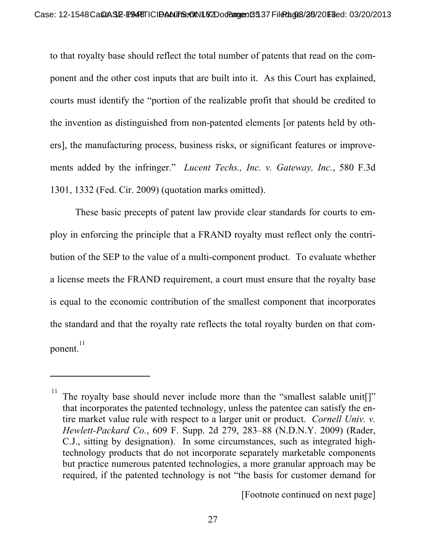to that royalty base should reflect the total number of patents that read on the component and the other cost inputs that are built into it. As this Court has explained, courts must identify the "portion of the realizable profit that should be credited to the invention as distinguished from non-patented elements [or patents held by others], the manufacturing process, business risks, or significant features or improvements added by the infringer." *Lucent Techs., Inc. v. Gateway, Inc.*, 580 F.3d 1301, 1332 (Fed. Cir. 2009) (quotation marks omitted).

These basic precepts of patent law provide clear standards for courts to employ in enforcing the principle that a FRAND royalty must reflect only the contribution of the SEP to the value of a multi-component product. To evaluate whether a license meets the FRAND requirement, a court must ensure that the royalty base is equal to the economic contribution of the smallest component that incorporates the standard and that the royalty rate reflects the total royalty burden on that component. 11

 $\overline{a}$ 

[Footnote continued on next page]

<sup>&</sup>lt;sup>11</sup> The royalty base should never include more than the "smallest salable unit[]" that incorporates the patented technology, unless the patentee can satisfy the entire market value rule with respect to a larger unit or product. *Cornell Univ. v. Hewlett-Packard Co.*, 609 F. Supp. 2d 279, 283–88 (N.D.N.Y. 2009) (Rader, C.J., sitting by designation). In some circumstances, such as integrated hightechnology products that do not incorporate separately marketable components but practice numerous patented technologies, a more granular approach may be required, if the patented technology is not "the basis for customer demand for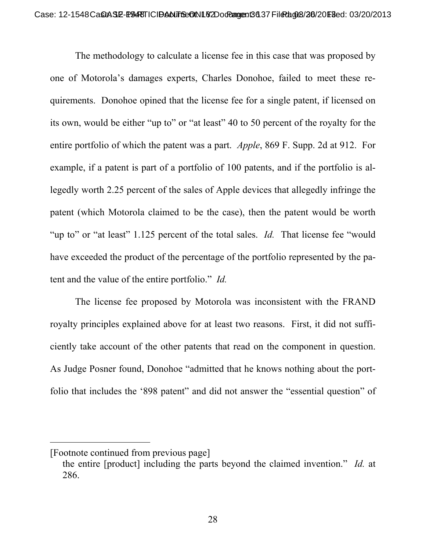The methodology to calculate a license fee in this case that was proposed by one of Motorola's damages experts, Charles Donohoe, failed to meet these requirements. Donohoe opined that the license fee for a single patent, if licensed on its own, would be either "up to" or "at least" 40 to 50 percent of the royalty for the entire portfolio of which the patent was a part. *Apple*, 869 F. Supp. 2d at 912. For example, if a patent is part of a portfolio of 100 patents, and if the portfolio is allegedly worth 2.25 percent of the sales of Apple devices that allegedly infringe the patent (which Motorola claimed to be the case), then the patent would be worth "up to" or "at least" 1.125 percent of the total sales. *Id.* That license fee "would" have exceeded the product of the percentage of the portfolio represented by the patent and the value of the entire portfolio." *Id.*

The license fee proposed by Motorola was inconsistent with the FRAND royalty principles explained above for at least two reasons. First, it did not sufficiently take account of the other patents that read on the component in question. As Judge Posner found, Donohoe "admitted that he knows nothing about the portfolio that includes the '898 patent" and did not answer the "essential question" of

 $\overline{a}$ 

<sup>[</sup>Footnote continued from previous page]

the entire [product] including the parts beyond the claimed invention." *Id.* at 286.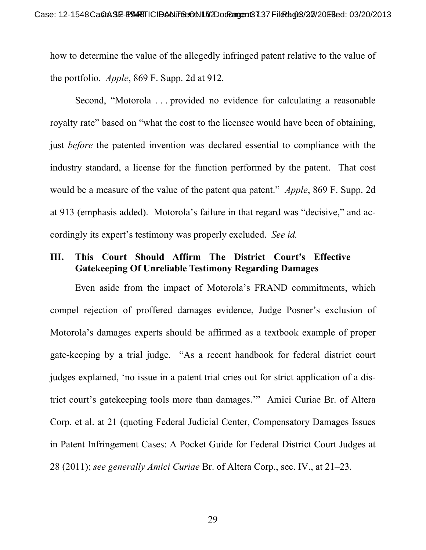how to determine the value of the allegedly infringed patent relative to the value of the portfolio. *Apple*, 869 F. Supp. 2d at 912*.*

Second, "Motorola . . . provided no evidence for calculating a reasonable royalty rate" based on "what the cost to the licensee would have been of obtaining, just *before* the patented invention was declared essential to compliance with the industry standard, a license for the function performed by the patent. That cost would be a measure of the value of the patent qua patent." *Apple*, 869 F. Supp. 2d at 913 (emphasis added). Motorola's failure in that regard was "decisive," and accordingly its expert's testimony was properly excluded. *See id.*

### **III. This Court Should Affirm The District Court's Effective Gatekeeping Of Unreliable Testimony Regarding Damages**

Even aside from the impact of Motorola's FRAND commitments, which compel rejection of proffered damages evidence, Judge Posner's exclusion of Motorola's damages experts should be affirmed as a textbook example of proper gate-keeping by a trial judge. "As a recent handbook for federal district court judges explained, 'no issue in a patent trial cries out for strict application of a district court's gatekeeping tools more than damages.'" Amici Curiae Br. of Altera Corp. et al. at 21 (quoting Federal Judicial Center, Compensatory Damages Issues in Patent Infringement Cases: A Pocket Guide for Federal District Court Judges at 28 (2011); *see generally Amici Curiae* Br. of Altera Corp., sec. IV., at 21–23.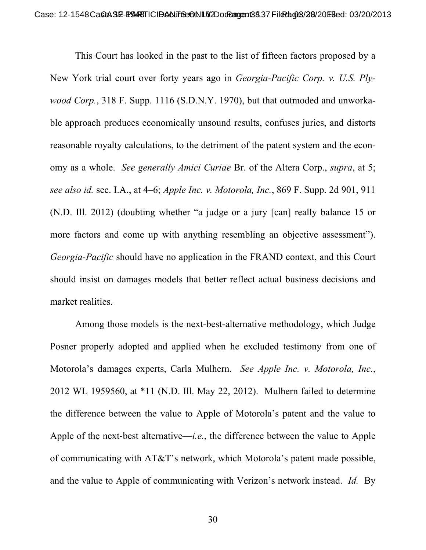This Court has looked in the past to the list of fifteen factors proposed by a New York trial court over forty years ago in *Georgia-Pacific Corp. v. U.S. Plywood Corp.*, 318 F. Supp. 1116 (S.D.N.Y. 1970), but that outmoded and unworkable approach produces economically unsound results, confuses juries, and distorts reasonable royalty calculations, to the detriment of the patent system and the economy as a whole. *See generally Amici Curiae* Br. of the Altera Corp., *supra*, at 5; *see also id.* sec. I.A., at 4–6; *Apple Inc. v. Motorola, Inc.*, 869 F. Supp. 2d 901, 911 (N.D. Ill. 2012) (doubting whether "a judge or a jury [can] really balance 15 or more factors and come up with anything resembling an objective assessment"). *Georgia-Pacific* should have no application in the FRAND context, and this Court should insist on damages models that better reflect actual business decisions and market realities.

Among those models is the next-best-alternative methodology, which Judge Posner properly adopted and applied when he excluded testimony from one of Motorola's damages experts, Carla Mulhern. *See Apple Inc. v. Motorola, Inc.*, 2012 WL 1959560, at \*11 (N.D. Ill. May 22, 2012). Mulhern failed to determine the difference between the value to Apple of Motorola's patent and the value to Apple of the next-best alternative—*i.e.*, the difference between the value to Apple of communicating with AT&T's network, which Motorola's patent made possible, and the value to Apple of communicating with Verizon's network instead. *Id.* By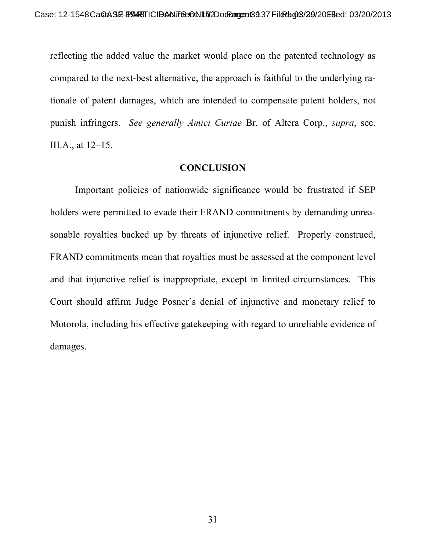reflecting the added value the market would place on the patented technology as compared to the next-best alternative, the approach is faithful to the underlying rationale of patent damages, which are intended to compensate patent holders, not punish infringers. *See generally Amici Curiae* Br. of Altera Corp., *supra*, sec. III.A., at 12–15.

#### **CONCLUSION**

 Important policies of nationwide significance would be frustrated if SEP holders were permitted to evade their FRAND commitments by demanding unreasonable royalties backed up by threats of injunctive relief. Properly construed, FRAND commitments mean that royalties must be assessed at the component level and that injunctive relief is inappropriate, except in limited circumstances. This Court should affirm Judge Posner's denial of injunctive and monetary relief to Motorola, including his effective gatekeeping with regard to unreliable evidence of damages.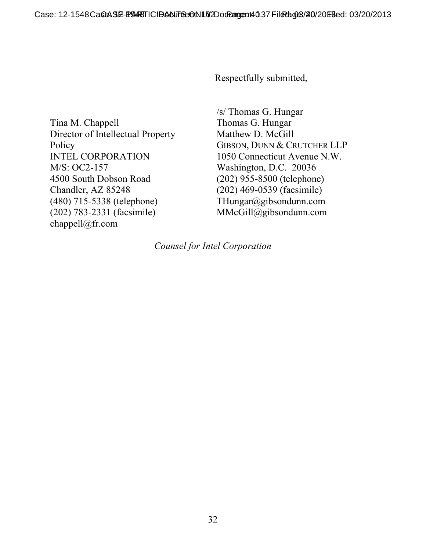Respectfully submitted,

Tina M. Chappell Director of Intellectual Property Policy INTEL CORPORATION M/S: OC2-157 4500 South Dobson Road Chandler, AZ 85248 (480) 715-5338 (telephone) (202) 783-2331 (facsimile) chappell@fr.com

/s/ Thomas G. Hungar Thomas G. Hungar Matthew D. McGill GIBSON, DUNN & CRUTCHER LLP 1050 Connecticut Avenue N.W. Washington, D.C. 20036 (202) 955-8500 (telephone) (202) 469-0539 (facsimile) THungar@gibsondunn.com MMcGill@gibsondunn.com

*Counsel for Intel Corporation*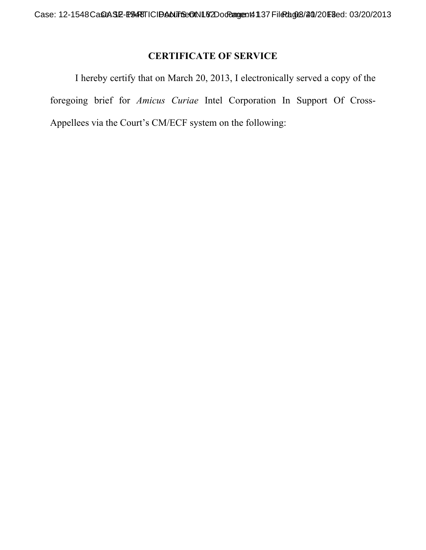# **CERTIFICATE OF SERVICE**

I hereby certify that on March 20, 2013, I electronically served a copy of the foregoing brief for *Amicus Curiae* Intel Corporation In Support Of Cross-Appellees via the Court's CM/ECF system on the following: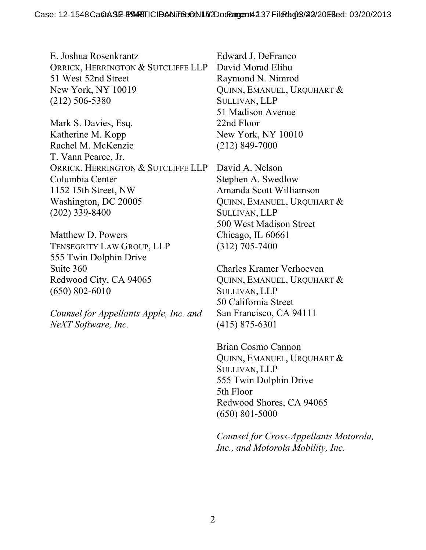E. Joshua Rosenkrantz ORRICK, HERRINGTON & SUTCLIFFE LLP 51 West 52nd Street New York, NY 10019 (212) 506-5380

Mark S. Davies, Esq. Katherine M. Kopp Rachel M. McKenzie T. Vann Pearce, Jr. ORRICK, HERRINGTON & SUTCLIFFE LLP Columbia Center 1152 15th Street, NW Washington, DC 20005 (202) 339-8400

Matthew D. Powers TENSEGRITY LAW GROUP, LLP 555 Twin Dolphin Drive Suite 360 Redwood City, CA 94065 (650) 802-6010

*Counsel for Appellants Apple, Inc. and NeXT Software, Inc.* 

Edward J. DeFranco David Morad Elihu Raymond N. Nimrod QUINN, EMANUEL, URQUHART & SULLIVAN, LLP 51 Madison Avenue 22nd Floor New York, NY 10010 (212) 849-7000

David A. Nelson Stephen A. Swedlow Amanda Scott Williamson QUINN, EMANUEL, URQUHART & SULLIVAN, LLP 500 West Madison Street Chicago, IL 60661 (312) 705-7400

Charles Kramer Verhoeven QUINN, EMANUEL, URQUHART & SULLIVAN, LLP 50 California Street San Francisco, CA 94111 (415) 875-6301

Brian Cosmo Cannon QUINN, EMANUEL, URQUHART & SULLIVAN, LLP 555 Twin Dolphin Drive 5th Floor Redwood Shores, CA 94065 (650) 801-5000

*Counsel for Cross-Appellants Motorola, Inc., and Motorola Mobility, Inc.*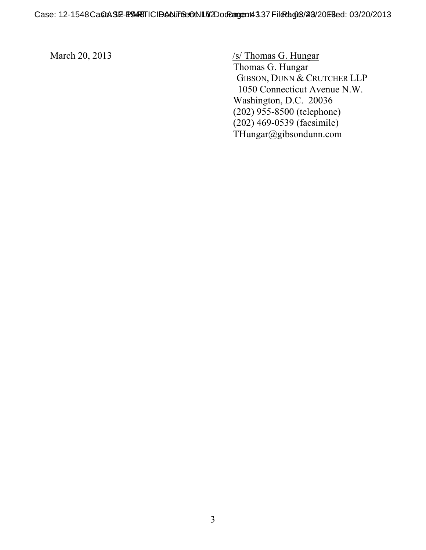March 20, 2013 /s/ Thomas G. Hungar Thomas G. Hungar GIBSON, DUNN & CRUTCHER LLP 1050 Connecticut Avenue N.W. Washington, D.C. 20036 (202) 955-8500 (telephone) (202) 469-0539 (facsimile) THungar@gibsondunn.com